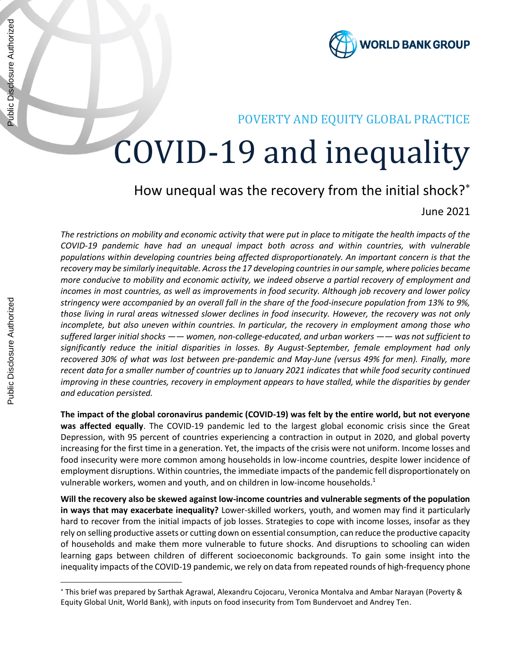

## POVERTY AND EQUITY GLOBAL PRACTICE

# COVID-19 and inequality

# How unequal was the recovery from the initial shock?\*

June 2021

*The restrictions on mobility and economic activity that were put in place to mitigate the health impacts of the COVID-19 pandemic have had an unequal impact both across and within countries, with vulnerable populations within developing countries being affected disproportionately. An important concern is that the recovery may be similarly inequitable. Across the 17 developing countries in our sample, where policies became more conducive to mobility and economic activity, we indeed observe a partial recovery of employment and incomes in most countries, as well as improvements in food security. Although job recovery and lower policy stringency were accompanied by an overall fall in the share of the food-insecure population from 13% to 9%, those living in rural areas witnessed slower declines in food insecurity. However, the recovery was not only incomplete, but also uneven within countries. In particular, the recovery in employment among those who suffered larger initial shocks —— women, non-college-educated, and urban workers —— was not sufficient to significantly reduce the initial disparities in losses. By August-September, female employment had only recovered 30% of what was lost between pre-pandemic and May-June (versus 49% for men). Finally, more recent data for a smaller number of countries up to January 2021 indicates that while food security continued improving in these countries, recovery in employment appears to have stalled, while the disparities by gender and education persisted.* 

**The impact of the global coronavirus pandemic (COVID-19) was felt by the entire world, but not everyone was affected equally**. The COVID-19 pandemic led to the largest global economic crisis since the Great Depression, with 95 percent of countries experiencing a contraction in output in 2020, and global poverty increasing for the first time in a generation. Yet, the impacts of the crisis were not uniform. Income losses and food insecurity were more common among households in low-income countries, despite lower incidence of employment disruptions. Within countries, the immediate impacts of the pandemic fell disproportionately on vulnerable workers, women and youth, and on children in low-income households.<sup>1</sup>

**Will the recovery also be skewed against low-income countries and vulnerable segments of the population in ways that may exacerbate inequality?** Lower-skilled workers, youth, and women may find it particularly hard to recover from the initial impacts of job losses. Strategies to cope with income losses, insofar as they rely on selling productive assets or cutting down on essential consumption, can reduce the productive capacity of households and make them more vulnerable to future shocks. And disruptions to schooling can widen learning gaps between children of different socioeconomic backgrounds. To gain some insight into the inequality impacts of the COVID-19 pandemic, we rely on data from repeated rounds of high-frequency phone

This brief was prepared by Sarthak Agrawal, Alexandru Cojocaru, Veronica Montalva and Ambar Narayan (Poverty & Equity Global Unit, World Bank), with inputs on food insecurity from Tom Bundervoet and Andrey Ten.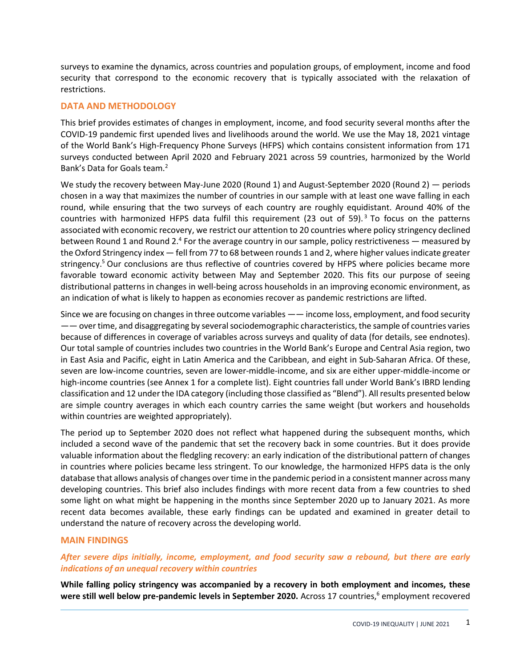surveys to examine the dynamics, across countries and population groups, of employment, income and food security that correspond to the economic recovery that is typically associated with the relaxation of restrictions.

### **DATA AND METHODOLOGY**

This brief provides estimates of changes in employment, income, and food security several months after the COVID-19 pandemic first upended lives and livelihoods around the world. We use the May 18, 2021 vintage of the World Bank's High-Frequency Phone Surveys (HFPS) which contains consistent information from 171 surveys conducted between April 2020 and February 2021 across 59 countries, harmonized by the World Bank's Data for Goals team.<sup>2</sup>

We study the recovery between May-June 2020 (Round 1) and August-September 2020 (Round 2) — periods chosen in a way that maximizes the number of countries in our sample with at least one wave falling in each round, while ensuring that the two surveys of each country are roughly equidistant. Around 40% of the countries with harmonized HFPS data fulfil this requirement (23 out of 59).<sup>3</sup> To focus on the patterns associated with economic recovery, we restrict our attention to 20 countries where policy stringency declined between Round 1 and Round 2.<sup>4</sup> For the average country in our sample, policy restrictiveness — measured by the Oxford Stringency index — fell from 77 to 68 between rounds 1 and 2, where higher values indicate greater stringency.<sup>5</sup> Our conclusions are thus reflective of countries covered by HFPS where policies became more favorable toward economic activity between May and September 2020. This fits our purpose of seeing distributional patterns in changes in well-being across households in an improving economic environment, as an indication of what is likely to happen as economies recover as pandemic restrictions are lifted.

Since we are focusing on changes in three outcome variables —— income loss, employment, and food security —— over time, and disaggregating by several sociodemographic characteristics, the sample of countries varies because of differences in coverage of variables across surveys and quality of data (for details, see endnotes). Our total sample of countries includes two countries in the World Bank's Europe and Central Asia region, two in East Asia and Pacific, eight in Latin America and the Caribbean, and eight in Sub-Saharan Africa. Of these, seven are low-income countries, seven are lower-middle-income, and six are either upper-middle-income or high-income countries (see Annex 1 for a complete list). Eight countries fall under World Bank's IBRD lending classification and 12 under the IDA category (including those classified as "Blend"). All results presented below are simple country averages in which each country carries the same weight (but workers and households within countries are weighted appropriately).

The period up to September 2020 does not reflect what happened during the subsequent months, which included a second wave of the pandemic that set the recovery back in some countries. But it does provide valuable information about the fledgling recovery: an early indication of the distributional pattern of changes in countries where policies became less stringent. To our knowledge, the harmonized HFPS data is the only database that allows analysis of changes over time in the pandemic period in a consistent manner across many developing countries. This brief also includes findings with more recent data from a few countries to shed some light on what might be happening in the months since September 2020 up to January 2021. As more recent data becomes available, these early findings can be updated and examined in greater detail to understand the nature of recovery across the developing world.

### **MAIN FINDINGS**

### *After severe dips initially, income, employment, and food security saw a rebound, but there are early indications of an unequal recovery within countries*

**While falling policy stringency was accompanied by a recovery in both employment and incomes, these were still well below pre-pandemic levels in September 2020.** Across 17 countries,<sup>6</sup> employment recovered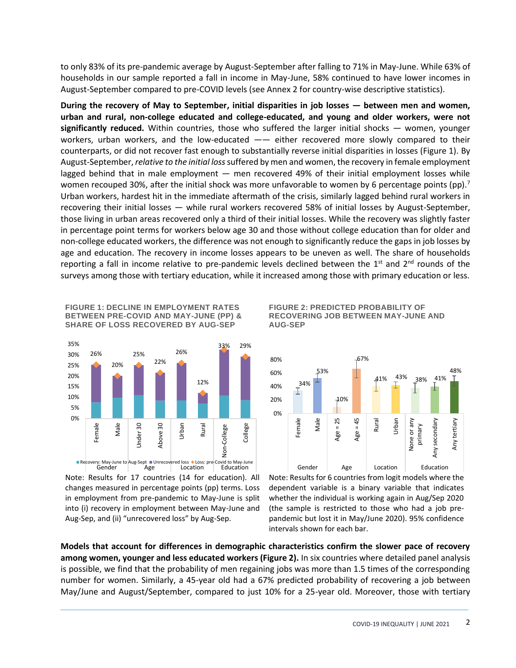to only 83% of its pre-pandemic average by August-September after falling to 71% in May-June. While 63% of households in our sample reported a fall in income in May-June, 58% continued to have lower incomes in August-September compared to pre-COVID levels (see Annex 2 for country-wise descriptive statistics).

**During the recovery of May to September, initial disparities in job losses — between men and women, urban and rural, non-college educated and college-educated, and young and older workers, were not significantly reduced.** Within countries, those who suffered the larger initial shocks — women, younger workers, urban workers, and the low-educated —— either recovered more slowly compared to their counterparts, or did not recover fast enough to substantially reverse initial disparities in losses (Figure 1). By August-September, *relative to the initial loss*suffered by men and women, the recovery in female employment lagged behind that in male employment — men recovered 49% of their initial employment losses while women recouped 30%, after the initial shock was more unfavorable to women by 6 percentage points (pp).<sup>7</sup> Urban workers, hardest hit in the immediate aftermath of the crisis, similarly lagged behind rural workers in recovering their initial losses — while rural workers recovered 58% of initial losses by August-September, those living in urban areas recovered only a third of their initial losses. While the recovery was slightly faster in percentage point terms for workers below age 30 and those without college education than for older and non-college educated workers, the difference was not enough to significantly reduce the gaps in job losses by age and education. The recovery in income losses appears to be uneven as well. The share of households reporting a fall in income relative to pre-pandemic levels declined between the  $1<sup>st</sup>$  and  $2<sup>nd</sup>$  rounds of the surveys among those with tertiary education, while it increased among those with primary education or less.

**FIGURE 1: DECLINE IN EMPLOYMENT RATES BETWEEN PRE-COVID AND MAY-JUNE (PP) & SHARE OF LOSS RECOVERED BY AUG-SEP**



Note: Results for 17 countries (14 for education). All changes measured in percentage points (pp) terms. Loss in employment from pre-pandemic to May-June is split into (i) recovery in employment between May-June and Aug-Sep, and (ii) "unrecovered loss" by Aug-Sep.





Note: Results for 6 countries from logit models where the dependent variable is a binary variable that indicates whether the individual is working again in Aug/Sep 2020 (the sample is restricted to those who had a job prepandemic but lost it in May/June 2020). 95% confidence intervals shown for each bar.

**Models that account for differences in demographic characteristics confirm the slower pace of recovery among women, younger and less educated workers (Figure 2).** In six countries where detailed panel analysis is possible, we find that the probability of men regaining jobs was more than 1.5 times of the corresponding number for women. Similarly, a 45-year old had a 67% predicted probability of recovering a job between May/June and August/September, compared to just 10% for a 25-year old. Moreover, those with tertiary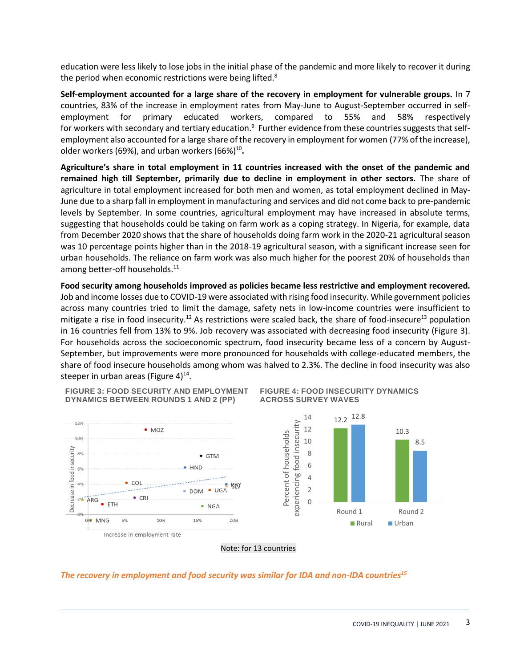education were less likely to lose jobs in the initial phase of the pandemic and more likely to recover it during the period when economic restrictions were being lifted.<sup>8</sup>

**Self-employment accounted for a large share of the recovery in employment for vulnerable groups.** In 7 countries, 83% of the increase in employment rates from May-June to August-September occurred in selfemployment for primary educated workers, compared to 55% and 58% respectively for workers with secondary and tertiary education.<sup>9</sup> Further evidence from these countries suggests that selfemployment also accounted for a large share of the recovery in employment for women (77% of the increase), older workers (69%), and urban workers (66%)<sup>10</sup>.

**Agriculture's share in total employment in 11 countries increased with the onset of the pandemic and remained high till September, primarily due to decline in employment in other sectors.** The share of agriculture in total employment increased for both men and women, as total employment declined in May-June due to a sharp fall in employment in manufacturing and services and did not come back to pre-pandemic levels by September. In some countries, agricultural employment may have increased in absolute terms, suggesting that households could be taking on farm work as a coping strategy. In Nigeria, for example, data from December 2020 shows that the share of households doing farm work in the 2020-21 agricultural season was 10 percentage points higher than in the 2018-19 agricultural season, with a significant increase seen for urban households. The reliance on farm work was also much higher for the poorest 20% of households than among better-off households.<sup>11</sup>

**Food security among households improved as policies became less restrictive and employment recovered.**  Job and income losses due to COVID-19 were associated with rising food insecurity. While government policies across many countries tried to limit the damage, safety nets in low-income countries were insufficient to mitigate a rise in food insecurity.<sup>12</sup> As restrictions were scaled back, the share of food-insecure<sup>13</sup> population in 16 countries fell from 13% to 9%. Job recovery was associated with decreasing food insecurity (Figure 3). For households across the socioeconomic spectrum, food insecurity became less of a concern by August-September, but improvements were more pronounced for households with college-educated members, the share of food insecure households among whom was halved to 2.3%. The decline in food insecurity was also steeper in urban areas (Figure 4) $^{14}$ .

**FIGURE 3: FOOD SECURITY AND EMPLOYMENT DYNAMICS BETWEEN ROUNDS 1 AND 2 (PP)**









### *The recovery in employment and food security was similar for IDA and non-IDA countries<sup>15</sup>*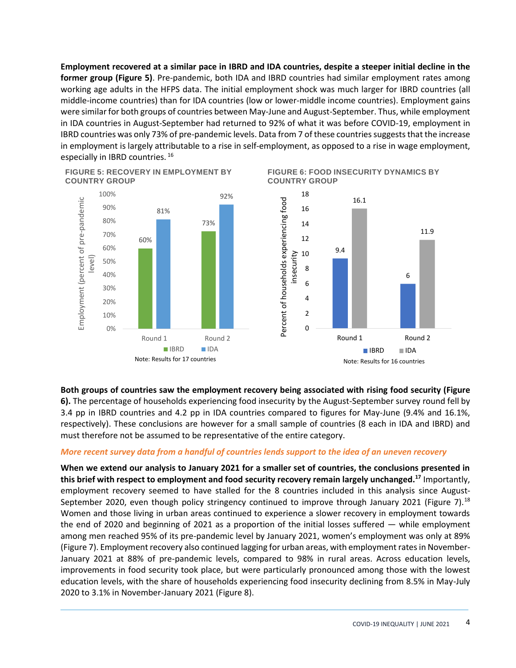**Employment recovered at a similar pace in IBRD and IDA countries, despite a steeper initial decline in the former group (Figure 5)**. Pre-pandemic, both IDA and IBRD countries had similar employment rates among working age adults in the HFPS data. The initial employment shock was much larger for IBRD countries (all middle-income countries) than for IDA countries (low or lower-middle income countries). Employment gains were similar for both groups of countries between May-June and August-September. Thus, while employment in IDA countries in August-September had returned to 92% of what it was before COVID-19, employment in IBRD countries was only 73% of pre-pandemic levels. Data from 7 of these countries suggests that the increase in employment is largely attributable to a rise in self-employment, as opposed to a rise in wage employment, especially in IBRD countries. 16

**FIGURE 5: RECOVERY IN EMPLOYMENT BY COUNTRY GROUP**



**FIGURE 6: FOOD INSECURITY DYNAMICS BY COUNTRY GROUP**



**Both groups of countries saw the employment recovery being associated with rising food security (Figure 6).** The percentage of households experiencing food insecurity by the August-September survey round fell by 3.4 pp in IBRD countries and 4.2 pp in IDA countries compared to figures for May-June (9.4% and 16.1%, respectively). These conclusions are however for a small sample of countries (8 each in IDA and IBRD) and must therefore not be assumed to be representative of the entire category.

### *More recent survey data from a handful of countries lends support to the idea of an uneven recovery*

**When we extend our analysis to January 2021 for a smaller set of countries, the conclusions presented in this brief with respect to employment and food security recovery remain largely unchanged.<sup>17</sup>** Importantly, employment recovery seemed to have stalled for the 8 countries included in this analysis since August-September 2020, even though policy stringency continued to improve through January 2021 (Figure 7).<sup>18</sup> Women and those living in urban areas continued to experience a slower recovery in employment towards the end of 2020 and beginning of 2021 as a proportion of the initial losses suffered — while employment among men reached 95% of its pre-pandemic level by January 2021, women's employment was only at 89% (Figure 7). Employment recovery also continued lagging for urban areas, with employment rates in November-January 2021 at 88% of pre-pandemic levels, compared to 98% in rural areas. Across education levels, improvements in food security took place, but were particularly pronounced among those with the lowest education levels, with the share of households experiencing food insecurity declining from 8.5% in May-July 2020 to 3.1% in November-January 2021 (Figure 8).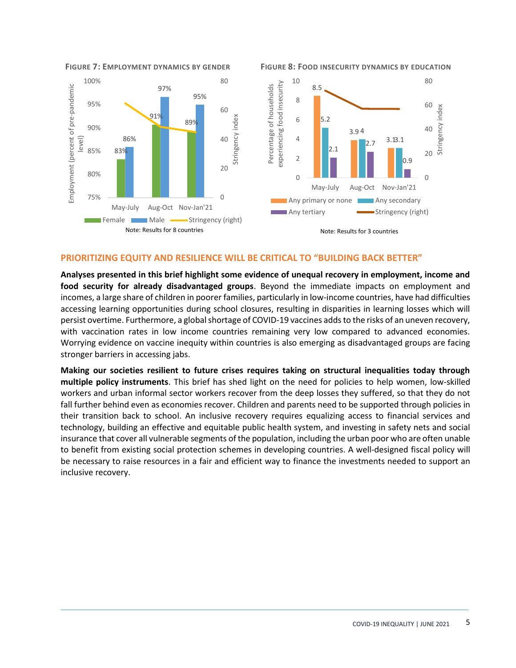

**FIGURE 7: EMPLOYMENT DYNAMICS BY GENDER FIGURE 8: FOOD INSECURITY DYNAMICS BY EDUCATION**

### **PRIORITIZING EQUITY AND RESILIENCE WILL BE CRITICAL TO "BUILDING BACK BETTER"**

**Analyses presented in this brief highlight some evidence of unequal recovery in employment, income and food security for already disadvantaged groups**. Beyond the immediate impacts on employment and incomes, a large share of children in poorer families, particularly in low-income countries, have had difficulties accessing learning opportunities during school closures, resulting in disparities in learning losses which will persist overtime. Furthermore, a global shortage of COVID-19 vaccines adds to the risks of an uneven recovery, with vaccination rates in low income countries remaining very low compared to advanced economies. Worrying evidence on vaccine inequity within countries is also emerging as disadvantaged groups are facing stronger barriers in accessing jabs.

**Making our societies resilient to future crises requires taking on structural inequalities today through multiple policy instruments**. This brief has shed light on the need for policies to help women, low-skilled workers and urban informal sector workers recover from the deep losses they suffered, so that they do not fall further behind even as economies recover. Children and parents need to be supported through policies in their transition back to school. An inclusive recovery requires equalizing access to financial services and technology, building an effective and equitable public health system, and investing in safety nets and social insurance that cover all vulnerable segments of the population, including the urban poor who are often unable to benefit from existing social protection schemes in developing countries. A well-designed fiscal policy will be necessary to raise resources in a fair and efficient way to finance the investments needed to support an inclusive recovery.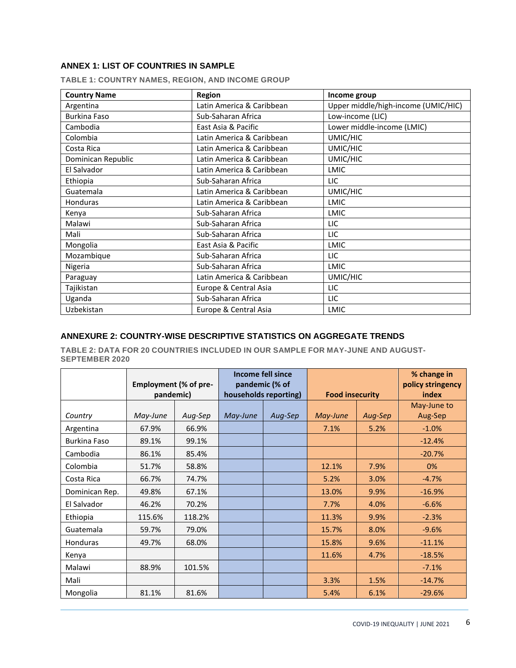### **ANNEX 1: LIST OF COUNTRIES IN SAMPLE**

| <b>Country Name</b> | Region                    | Income group                        |  |  |
|---------------------|---------------------------|-------------------------------------|--|--|
| Argentina           | Latin America & Caribbean | Upper middle/high-income (UMIC/HIC) |  |  |
| <b>Burkina Faso</b> | Sub-Saharan Africa        | Low-income (LIC)                    |  |  |
| Cambodia            | East Asia & Pacific       | Lower middle-income (LMIC)          |  |  |
| Colombia            | Latin America & Caribbean | UMIC/HIC                            |  |  |
| Costa Rica          | Latin America & Caribbean | UMIC/HIC                            |  |  |
| Dominican Republic  | Latin America & Caribbean | UMIC/HIC                            |  |  |
| El Salvador         | Latin America & Caribbean | <b>LMIC</b>                         |  |  |
| Ethiopia            | Sub-Saharan Africa        | LIC                                 |  |  |
| Guatemala           | Latin America & Caribbean | UMIC/HIC                            |  |  |
| <b>Honduras</b>     | Latin America & Caribbean | <b>LMIC</b>                         |  |  |
| Kenya               | Sub-Saharan Africa        | <b>LMIC</b>                         |  |  |
| Malawi              | Sub-Saharan Africa        | LIC                                 |  |  |
| Mali                | Sub-Saharan Africa        | LIC                                 |  |  |
| Mongolia            | East Asia & Pacific       | <b>LMIC</b>                         |  |  |
| Mozambique          | Sub-Saharan Africa        | LIC                                 |  |  |
| Nigeria             | Sub-Saharan Africa        | <b>LMIC</b>                         |  |  |
| Paraguay            | Latin America & Caribbean | UMIC/HIC                            |  |  |
| Tajikistan          | Europe & Central Asia     | LIC                                 |  |  |
| Uganda              | Sub-Saharan Africa        | LIC                                 |  |  |
| Uzbekistan          | Europe & Central Asia     | <b>LMIC</b>                         |  |  |

**TABLE 1: COUNTRY NAMES, REGION, AND INCOME GROUP**

### **ANNEXURE 2: COUNTRY-WISE DESCRIPTIVE STATISTICS ON AGGREGATE TRENDS**

**TABLE 2: DATA FOR 20 COUNTRIES INCLUDED IN OUR SAMPLE FOR MAY-JUNE AND AUGUST-SEPTEMBER 2020**

|                | Employment (% of pre-<br>pandemic) |         | <b>Income fell since</b><br>pandemic (% of<br>households reporting) |         | <b>Food insecurity</b> |         | % change in<br>policy stringency<br>index |
|----------------|------------------------------------|---------|---------------------------------------------------------------------|---------|------------------------|---------|-------------------------------------------|
| Country        | May-June                           | Aug-Sep | May-June                                                            | Aug-Sep | May-June               | Aug-Sep | May-June to<br>Aug-Sep                    |
| Argentina      | 67.9%                              | 66.9%   |                                                                     |         | 7.1%                   | 5.2%    | $-1.0%$                                   |
| Burkina Faso   | 89.1%                              | 99.1%   |                                                                     |         |                        |         | $-12.4%$                                  |
| Cambodia       | 86.1%                              | 85.4%   |                                                                     |         |                        |         | $-20.7%$                                  |
| Colombia       | 51.7%                              | 58.8%   |                                                                     |         | 12.1%                  | 7.9%    | 0%                                        |
| Costa Rica     | 66.7%                              | 74.7%   |                                                                     |         | 5.2%                   | 3.0%    | $-4.7%$                                   |
| Dominican Rep. | 49.8%                              | 67.1%   |                                                                     |         | 13.0%                  | 9.9%    | $-16.9%$                                  |
| El Salvador    | 46.2%                              | 70.2%   |                                                                     |         | 7.7%                   | 4.0%    | $-6.6%$                                   |
| Ethiopia       | 115.6%                             | 118.2%  |                                                                     |         | 11.3%                  | 9.9%    | $-2.3%$                                   |
| Guatemala      | 59.7%                              | 79.0%   |                                                                     |         | 15.7%                  | 8.0%    | $-9.6%$                                   |
| Honduras       | 49.7%                              | 68.0%   |                                                                     |         | 15.8%                  | 9.6%    | $-11.1%$                                  |
| Kenya          |                                    |         |                                                                     |         | 11.6%                  | 4.7%    | $-18.5%$                                  |
| Malawi         | 88.9%                              | 101.5%  |                                                                     |         |                        |         | $-7.1%$                                   |
| Mali           |                                    |         |                                                                     |         | 3.3%                   | 1.5%    | $-14.7%$                                  |
| Mongolia       | 81.1%                              | 81.6%   |                                                                     |         | 5.4%                   | 6.1%    | $-29.6%$                                  |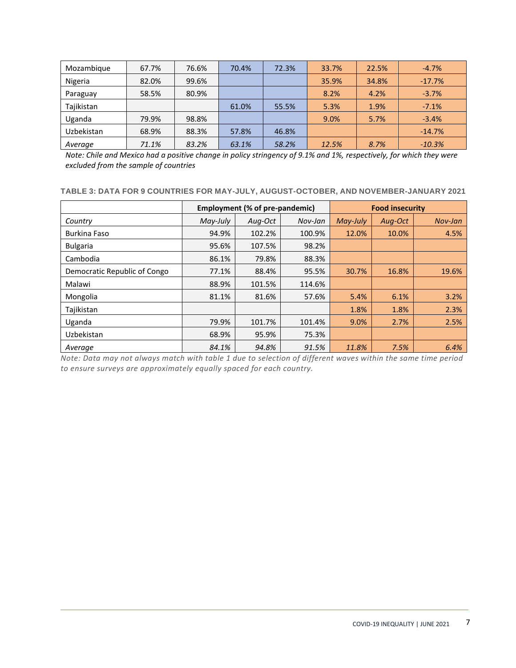| Mozambique | 67.7% | 76.6% | 70.4% | 72.3% | 33.7% | 22.5% | $-4.7%$  |
|------------|-------|-------|-------|-------|-------|-------|----------|
| Nigeria    | 82.0% | 99.6% |       |       | 35.9% | 34.8% | $-17.7%$ |
| Paraguay   | 58.5% | 80.9% |       |       | 8.2%  | 4.2%  | $-3.7%$  |
| Tajikistan |       |       | 61.0% | 55.5% | 5.3%  | 1.9%  | $-7.1%$  |
| Uganda     | 79.9% | 98.8% |       |       | 9.0%  | 5.7%  | $-3.4%$  |
| Uzbekistan | 68.9% | 88.3% | 57.8% | 46.8% |       |       | $-14.7%$ |
| Average    | 71.1% | 83.2% | 63.1% | 58.2% | 12.5% | 8.7%  | $-10.3%$ |

*Note: Chile and Mexico had a positive change in policy stringency of 9.1% and 1%, respectively, for which they were excluded from the sample of countries*

### **TABLE 3: DATA FOR 9 COUNTRIES FOR MAY-JULY, AUGUST-OCTOBER, AND NOVEMBER-JANUARY 2021**

|                              |          | Employment (% of pre-pandemic) |         | <b>Food insecurity</b> |         |         |
|------------------------------|----------|--------------------------------|---------|------------------------|---------|---------|
| Country                      | May-July | Aug-Oct                        | Nov-Jan | May-July               | Aug-Oct | Nov-Jan |
| Burkina Faso                 | 94.9%    | 102.2%                         | 100.9%  | 12.0%                  | 10.0%   | 4.5%    |
| <b>Bulgaria</b>              | 95.6%    | 107.5%                         | 98.2%   |                        |         |         |
| Cambodia                     | 86.1%    | 79.8%                          | 88.3%   |                        |         |         |
| Democratic Republic of Congo | 77.1%    | 88.4%                          | 95.5%   | 30.7%                  | 16.8%   | 19.6%   |
| Malawi                       | 88.9%    | 101.5%                         | 114.6%  |                        |         |         |
| Mongolia                     | 81.1%    | 81.6%                          | 57.6%   | 5.4%                   | 6.1%    | 3.2%    |
| Tajikistan                   |          |                                |         | 1.8%                   | 1.8%    | 2.3%    |
| Uganda                       | 79.9%    | 101.7%                         | 101.4%  | 9.0%                   | 2.7%    | 2.5%    |
| Uzbekistan                   | 68.9%    | 95.9%                          | 75.3%   |                        |         |         |
| Average                      | 84.1%    | 94.8%                          | 91.5%   | 11.8%                  | 7.5%    | 6.4%    |

*Note: Data may not always match with table 1 due to selection of different waves within the same time period to ensure surveys are approximately equally spaced for each country.*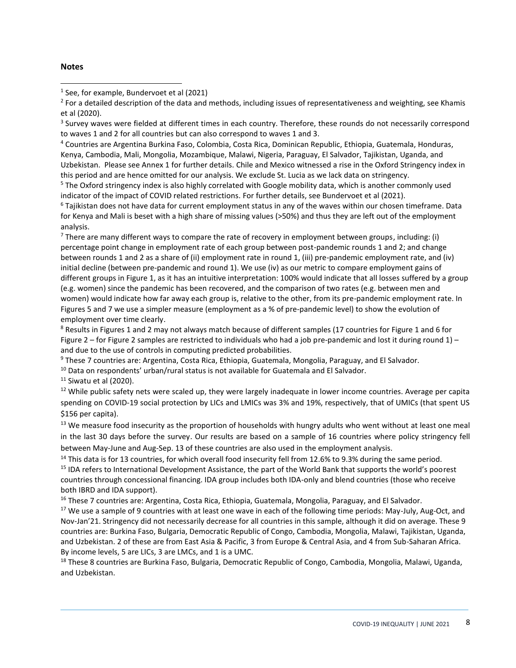### **Notes**

1 See, for example, Bundervoet et al (2021)

 $^2$  For a detailed description of the data and methods, including issues of representativeness and weighting, see Khamis et al (2020).

<sup>3</sup> Survey waves were fielded at different times in each country. Therefore, these rounds do not necessarily correspond to waves 1 and 2 for all countries but can also correspond to waves 1 and 3.

<sup>4</sup> Countries are Argentina Burkina Faso, Colombia, Costa Rica, Dominican Republic, Ethiopia, Guatemala, Honduras, Kenya, Cambodia, Mali, Mongolia, Mozambique, Malawi, Nigeria, Paraguay, El Salvador, Tajikistan, Uganda, and Uzbekistan. Please see Annex 1 for further details. Chile and Mexico witnessed a rise in the Oxford Stringency index in this period and are hence omitted for our analysis. We exclude St. Lucia as we lack data on stringency.

<sup>5</sup> The Oxford stringency index is also highly correlated with Google mobility data, which is another commonly used indicator of the impact of COVID related restrictions. For further details, see Bundervoet et al (2021).

<sup>6</sup> Tajikistan does not have data for current employment status in any of the waves within our chosen timeframe. Data for Kenya and Mali is beset with a high share of missing values (>50%) and thus they are left out of the employment analysis.

 $7$  There are many different ways to compare the rate of recovery in employment between groups, including: (i) percentage point change in employment rate of each group between post-pandemic rounds 1 and 2; and change between rounds 1 and 2 as a share of (ii) employment rate in round 1, (iii) pre-pandemic employment rate, and (iv) initial decline (between pre-pandemic and round 1). We use (iv) as our metric to compare employment gains of different groups in Figure 1, as it has an intuitive interpretation: 100% would indicate that all losses suffered by a group (e.g. women) since the pandemic has been recovered, and the comparison of two rates (e.g. between men and women) would indicate how far away each group is, relative to the other, from its pre-pandemic employment rate. In Figures 5 and 7 we use a simpler measure (employment as a % of pre-pandemic level) to show the evolution of employment over time clearly.

<sup>8</sup> Results in Figures 1 and 2 may not always match because of different samples (17 countries for Figure 1 and 6 for Figure 2 – for Figure 2 samples are restricted to individuals who had a job pre-pandemic and lost it during round  $1$ ) – and due to the use of controls in computing predicted probabilities.

<sup>9</sup> These 7 countries are: Argentina, Costa Rica, Ethiopia, Guatemala, Mongolia, Paraguay, and El Salvador.

<sup>10</sup> Data on respondents' urban/rural status is not available for Guatemala and El Salvador.

 $11$  Siwatu et al (2020).

<sup>12</sup> While public safety nets were scaled up, they were largely inadequate in lower income countries. Average per capita spending on COVID-19 social protection by LICs and LMICs was 3% and 19%, respectively, that of UMICs (that spent US \$156 per capita).

<sup>13</sup> We measure food insecurity as the proportion of households with hungry adults who went without at least one meal in the last 30 days before the survey. Our results are based on a sample of 16 countries where policy stringency fell between May-June and Aug-Sep. 13 of these countries are also used in the employment analysis.

<sup>14</sup> This data is for 13 countries, for which overall food insecurity fell from 12.6% to 9.3% during the same period. <sup>15</sup> IDA refers to International Development Assistance, the part of the World Bank that supports the world's poorest countries through concessional financing. IDA group includes both IDA-only and blend countries (those who receive both IBRD and IDA support).

<sup>16</sup> These 7 countries are: Argentina, Costa Rica, Ethiopia, Guatemala, Mongolia, Paraguay, and El Salvador.

<sup>17</sup> We use a sample of 9 countries with at least one wave in each of the following time periods: May-July, Aug-Oct, and Nov-Jan'21. Stringency did not necessarily decrease for all countries in this sample, although it did on average. These 9 countries are: Burkina Faso, Bulgaria, Democratic Republic of Congo, Cambodia, Mongolia, Malawi, Tajikistan, Uganda, and Uzbekistan. 2 of these are from East Asia & Pacific, 3 from Europe & Central Asia, and 4 from Sub-Saharan Africa. By income levels, 5 are LICs, 3 are LMCs, and 1 is a UMC.

<sup>18</sup> These 8 countries are Burkina Faso, Bulgaria, Democratic Republic of Congo, Cambodia, Mongolia, Malawi, Uganda, and Uzbekistan.